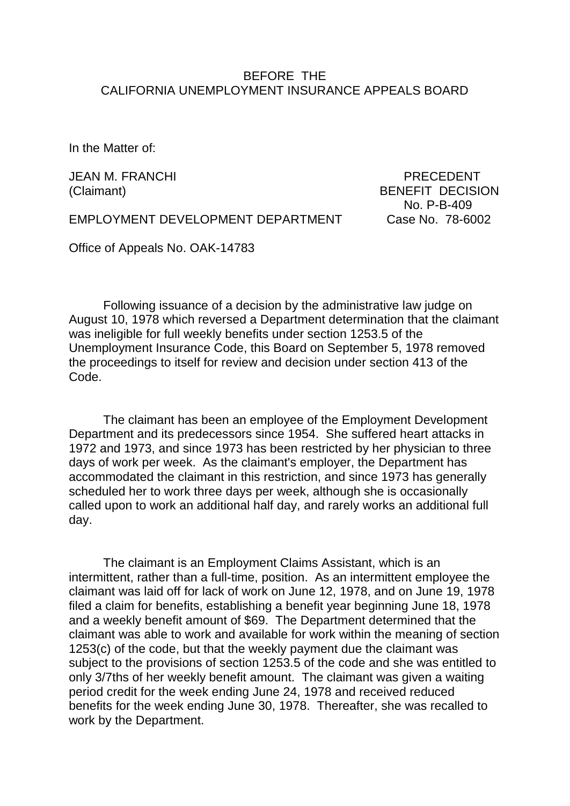## BEFORE THE CALIFORNIA UNEMPLOYMENT INSURANCE APPEALS BOARD

In the Matter of:

JEAN M. FRANCHI PRECEDENT

(Claimant) BENEFIT DECISION No. P-B-409

EMPLOYMENT DEVELOPMENT DEPARTMENT Case No. 78-6002

Office of Appeals No. OAK-14783

Following issuance of a decision by the administrative law judge on August 10, 1978 which reversed a Department determination that the claimant was ineligible for full weekly benefits under section 1253.5 of the Unemployment Insurance Code, this Board on September 5, 1978 removed the proceedings to itself for review and decision under section 413 of the Code.

The claimant has been an employee of the Employment Development Department and its predecessors since 1954. She suffered heart attacks in 1972 and 1973, and since 1973 has been restricted by her physician to three days of work per week. As the claimant's employer, the Department has accommodated the claimant in this restriction, and since 1973 has generally scheduled her to work three days per week, although she is occasionally called upon to work an additional half day, and rarely works an additional full day.

The claimant is an Employment Claims Assistant, which is an intermittent, rather than a full-time, position. As an intermittent employee the claimant was laid off for lack of work on June 12, 1978, and on June 19, 1978 filed a claim for benefits, establishing a benefit year beginning June 18, 1978 and a weekly benefit amount of \$69. The Department determined that the claimant was able to work and available for work within the meaning of section 1253(c) of the code, but that the weekly payment due the claimant was subject to the provisions of section 1253.5 of the code and she was entitled to only 3/7ths of her weekly benefit amount. The claimant was given a waiting period credit for the week ending June 24, 1978 and received reduced benefits for the week ending June 30, 1978. Thereafter, she was recalled to work by the Department.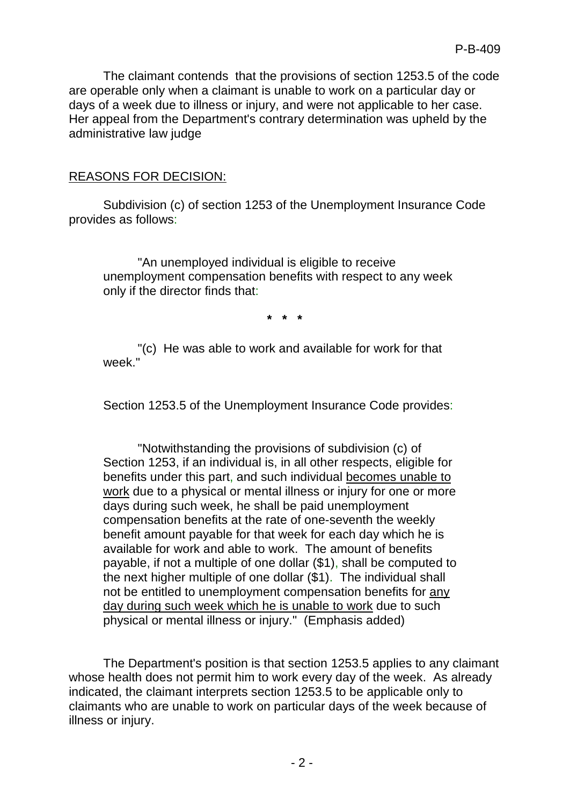The claimant contends that the provisions of section 1253.5 of the code are operable only when a claimant is unable to work on a particular day or days of a week due to illness or injury, and were not applicable to her case. Her appeal from the Department's contrary determination was upheld by the administrative law judge

#### REASONS FOR DECISION:

Subdivision (c) of section 1253 of the Unemployment Insurance Code provides as follows:

"An unemployed individual is eligible to receive unemployment compensation benefits with respect to any week only if the director finds that:

**\* \* \***

"(c) He was able to work and available for work for that week<sup>"</sup>

Section 1253.5 of the Unemployment Insurance Code provides:

"Notwithstanding the provisions of subdivision (c) of Section 1253, if an individual is, in all other respects, eligible for benefits under this part, and such individual becomes unable to work due to a physical or mental illness or injury for one or more days during such week, he shall be paid unemployment compensation benefits at the rate of one-seventh the weekly benefit amount payable for that week for each day which he is available for work and able to work. The amount of benefits payable, if not a multiple of one dollar (\$1), shall be computed to the next higher multiple of one dollar (\$1). The individual shall not be entitled to unemployment compensation benefits for any day during such week which he is unable to work due to such physical or mental illness or injury." (Emphasis added)

The Department's position is that section 1253.5 applies to any claimant whose health does not permit him to work every day of the week. As already indicated, the claimant interprets section 1253.5 to be applicable only to claimants who are unable to work on particular days of the week because of illness or injury.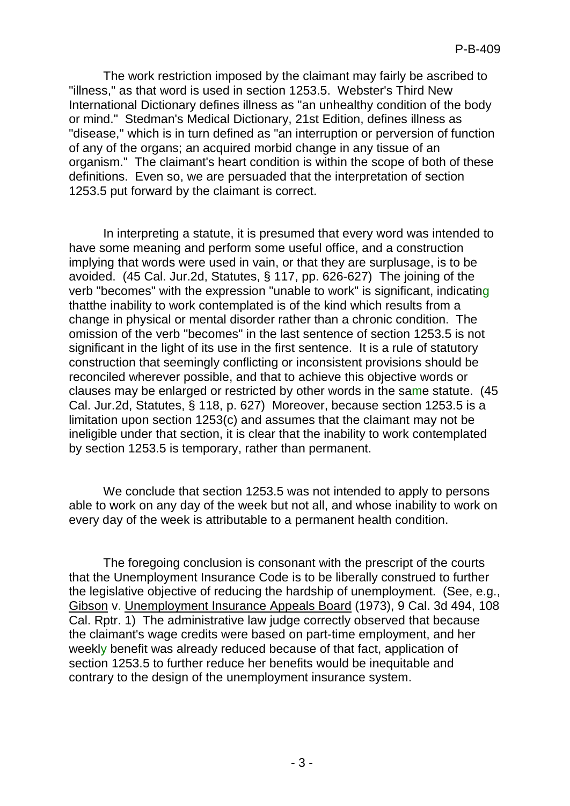The work restriction imposed by the claimant may fairly be ascribed to "illness," as that word is used in section 1253.5. Webster's Third New International Dictionary defines illness as "an unhealthy condition of the body or mind." Stedman's Medical Dictionary, 21st Edition, defines illness as "disease," which is in turn defined as "an interruption or perversion of function of any of the organs; an acquired morbid change in any tissue of an organism." The claimant's heart condition is within the scope of both of these definitions. Even so, we are persuaded that the interpretation of section 1253.5 put forward by the claimant is correct.

In interpreting a statute, it is presumed that every word was intended to have some meaning and perform some useful office, and a construction implying that words were used in vain, or that they are surplusage, is to be avoided. (45 Cal. Jur.2d, Statutes, § 117, pp. 626-627) The joining of the verb "becomes" with the expression "unable to work" is significant, indicating thatthe inability to work contemplated is of the kind which results from a change in physical or mental disorder rather than a chronic condition. The omission of the verb "becomes" in the last sentence of section 1253.5 is not significant in the light of its use in the first sentence. It is a rule of statutory construction that seemingly conflicting or inconsistent provisions should be reconciled wherever possible, and that to achieve this objective words or clauses may be enlarged or restricted by other words in the same statute. (45 Cal. Jur.2d, Statutes, § 118, p. 627) Moreover, because section 1253.5 is a limitation upon section 1253(c) and assumes that the claimant may not be ineligible under that section, it is clear that the inability to work contemplated by section 1253.5 is temporary, rather than permanent.

We conclude that section 1253.5 was not intended to apply to persons able to work on any day of the week but not all, and whose inability to work on every day of the week is attributable to a permanent health condition.

The foregoing conclusion is consonant with the prescript of the courts that the Unemployment Insurance Code is to be liberally construed to further the legislative objective of reducing the hardship of unemployment. (See, e.g., Gibson v. Unemployment Insurance Appeals Board (1973), 9 Cal. 3d 494, 108 Cal. Rptr. 1) The administrative law judge correctly observed that because the claimant's wage credits were based on part-time employment, and her weekly benefit was already reduced because of that fact, application of section 1253.5 to further reduce her benefits would be inequitable and contrary to the design of the unemployment insurance system.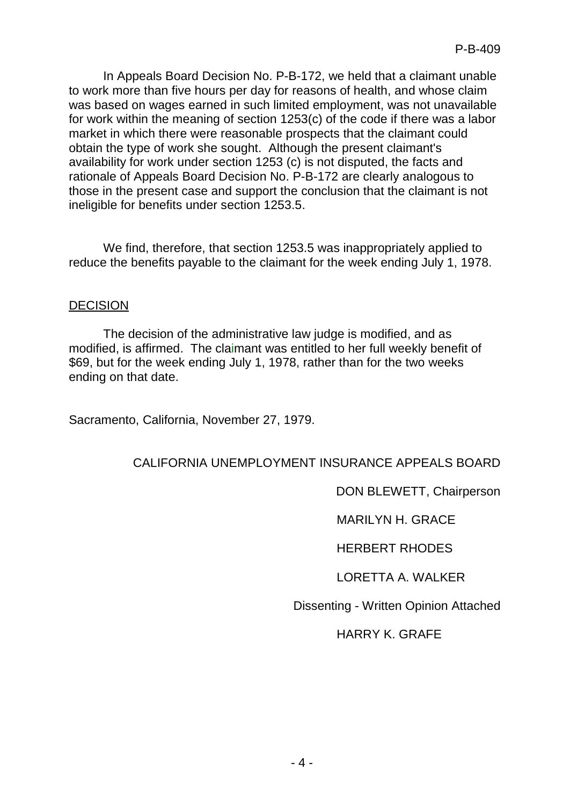In Appeals Board Decision No. P-B-172, we held that a claimant unable to work more than five hours per day for reasons of health, and whose claim was based on wages earned in such limited employment, was not unavailable for work within the meaning of section 1253(c) of the code if there was a labor market in which there were reasonable prospects that the claimant could obtain the type of work she sought. Although the present claimant's availability for work under section 1253 (c) is not disputed, the facts and rationale of Appeals Board Decision No. P-B-172 are clearly analogous to those in the present case and support the conclusion that the claimant is not ineligible for benefits under section 1253.5.

We find, therefore, that section 1253.5 was inappropriately applied to reduce the benefits payable to the claimant for the week ending July 1, 1978.

## DECISION

The decision of the administrative law judge is modified, and as modified, is affirmed. The claimant was entitled to her full weekly benefit of \$69, but for the week ending July 1, 1978, rather than for the two weeks ending on that date.

Sacramento, California, November 27, 1979.

## CALIFORNIA UNEMPLOYMENT INSURANCE APPEALS BOARD

DON BLEWETT, Chairperson

MARILYN H. GRACE

HERBERT RHODES

LORETTA A. WALKER

Dissenting - Written Opinion Attached

HARRY K. GRAFE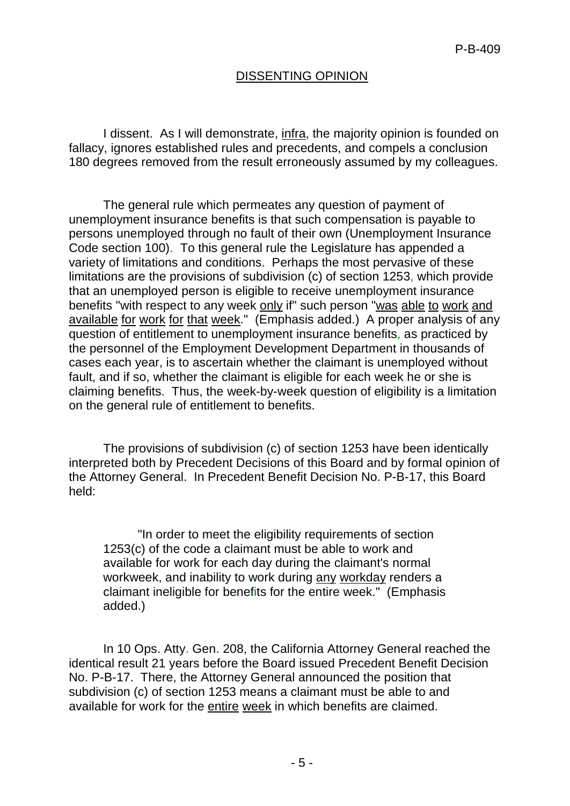# DISSENTING OPINION

I dissent. As I will demonstrate, infra, the majority opinion is founded on fallacy, ignores established rules and precedents, and compels a conclusion 180 degrees removed from the result erroneously assumed by my colleagues.

The general rule which permeates any question of payment of unemployment insurance benefits is that such compensation is payable to persons unemployed through no fault of their own (Unemployment Insurance Code section 100). To this general rule the Legislature has appended a variety of limitations and conditions. Perhaps the most pervasive of these limitations are the provisions of subdivision (c) of section 1253, which provide that an unemployed person is eligible to receive unemployment insurance benefits "with respect to any week only if" such person "was able to work and available for work for that week." (Emphasis added.) A proper analysis of any question of entitlement to unemployment insurance benefits, as practiced by the personnel of the Employment Development Department in thousands of cases each year, is to ascertain whether the claimant is unemployed without fault, and if so, whether the claimant is eligible for each week he or she is claiming benefits. Thus, the week-by-week question of eligibility is a limitation on the general rule of entitlement to benefits.

The provisions of subdivision (c) of section 1253 have been identically interpreted both by Precedent Decisions of this Board and by formal opinion of the Attorney General. In Precedent Benefit Decision No. P-B-17, this Board held:

"In order to meet the eligibility requirements of section 1253(c) of the code a claimant must be able to work and available for work for each day during the claimant's normal workweek, and inability to work during any workday renders a claimant ineligible for benefits for the entire week." (Emphasis added.)

In 10 Ops. Atty. Gen. 208, the California Attorney General reached the identical result 21 years before the Board issued Precedent Benefit Decision No. P-B-17. There, the Attorney General announced the position that subdivision (c) of section 1253 means a claimant must be able to and available for work for the entire week in which benefits are claimed.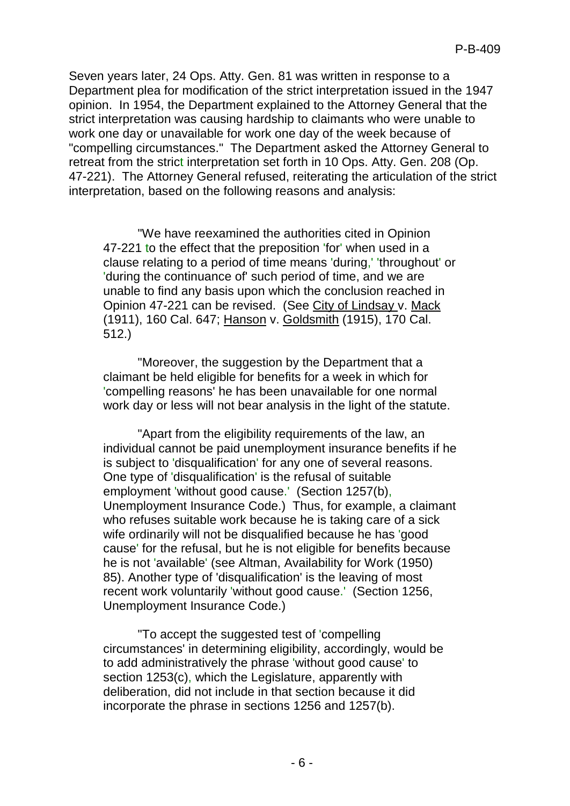Seven years later, 24 Ops. Atty. Gen. 81 was written in response to a Department plea for modification of the strict interpretation issued in the 1947 opinion. In 1954, the Department explained to the Attorney General that the strict interpretation was causing hardship to claimants who were unable to work one day or unavailable for work one day of the week because of "compelling circumstances." The Department asked the Attorney General to retreat from the strict interpretation set forth in 10 Ops. Atty. Gen. 208 (Op. 47-221). The Attorney General refused, reiterating the articulation of the strict interpretation, based on the following reasons and analysis:

"We have reexamined the authorities cited in Opinion 47-221 to the effect that the preposition 'for' when used in a clause relating to a period of time means 'during,' 'throughout' or 'during the continuance of' such period of time, and we are unable to find any basis upon which the conclusion reached in Opinion 47-221 can be revised. (See City of Lindsay v. Mack (1911), 160 Cal. 647; Hanson v. Goldsmith (1915), 170 Cal. 512.)

"Moreover, the suggestion by the Department that a claimant be held eligible for benefits for a week in which for 'compelling reasons' he has been unavailable for one normal work day or less will not bear analysis in the light of the statute.

"Apart from the eligibility requirements of the law, an individual cannot be paid unemployment insurance benefits if he is subject to 'disqualification' for any one of several reasons. One type of 'disqualification' is the refusal of suitable employment 'without good cause.' (Section 1257(b), Unemployment Insurance Code.) Thus, for example, a claimant who refuses suitable work because he is taking care of a sick wife ordinarily will not be disqualified because he has 'good cause' for the refusal, but he is not eligible for benefits because he is not 'available' (see Altman, Availability for Work (1950) 85). Another type of 'disqualification' is the leaving of most recent work voluntarily 'without good cause.' (Section 1256, Unemployment Insurance Code.)

"To accept the suggested test of 'compelling circumstances' in determining eligibility, accordingly, would be to add administratively the phrase 'without good cause' to section 1253(c), which the Legislature, apparently with deliberation, did not include in that section because it did incorporate the phrase in sections 1256 and 1257(b).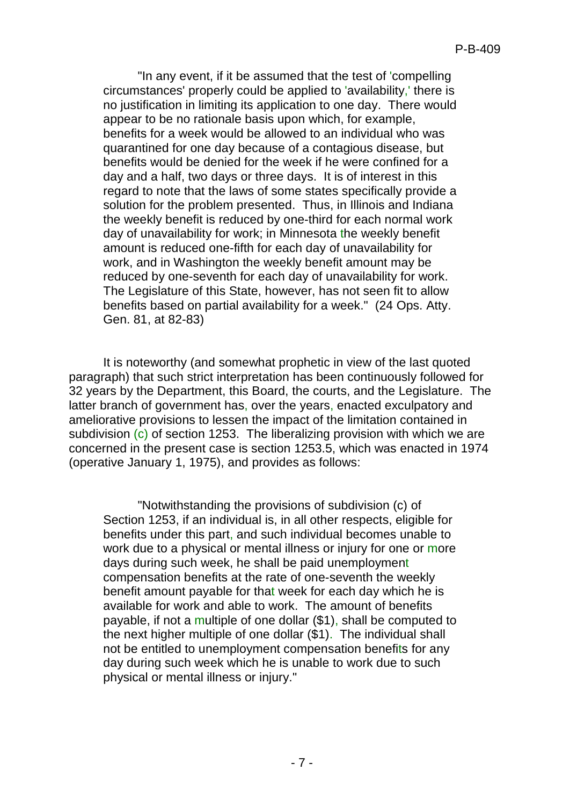"In any event, if it be assumed that the test of 'compelling circumstances' properly could be applied to 'availability,' there is no justification in limiting its application to one day. There would appear to be no rationale basis upon which, for example, benefits for a week would be allowed to an individual who was quarantined for one day because of a contagious disease, but benefits would be denied for the week if he were confined for a day and a half, two days or three days. It is of interest in this regard to note that the laws of some states specifically provide a solution for the problem presented. Thus, in Illinois and Indiana the weekly benefit is reduced by one-third for each normal work day of unavailability for work; in Minnesota the weekly benefit amount is reduced one-fifth for each day of unavailability for work, and in Washington the weekly benefit amount may be reduced by one-seventh for each day of unavailability for work. The Legislature of this State, however, has not seen fit to allow benefits based on partial availability for a week." (24 Ops. Atty. Gen. 81, at 82-83)

It is noteworthy (and somewhat prophetic in view of the last quoted paragraph) that such strict interpretation has been continuously followed for 32 years by the Department, this Board, the courts, and the Legislature. The latter branch of government has, over the years, enacted exculpatory and ameliorative provisions to lessen the impact of the limitation contained in subdivision  $(c)$  of section 1253. The liberalizing provision with which we are concerned in the present case is section 1253.5, which was enacted in 1974 (operative January 1, 1975), and provides as follows:

"Notwithstanding the provisions of subdivision (c) of Section 1253, if an individual is, in all other respects, eligible for benefits under this part, and such individual becomes unable to work due to a physical or mental illness or injury for one or more days during such week, he shall be paid unemployment compensation benefits at the rate of one-seventh the weekly benefit amount payable for that week for each day which he is available for work and able to work. The amount of benefits payable, if not a multiple of one dollar (\$1), shall be computed to the next higher multiple of one dollar (\$1). The individual shall not be entitled to unemployment compensation benefits for any day during such week which he is unable to work due to such physical or mental illness or injury."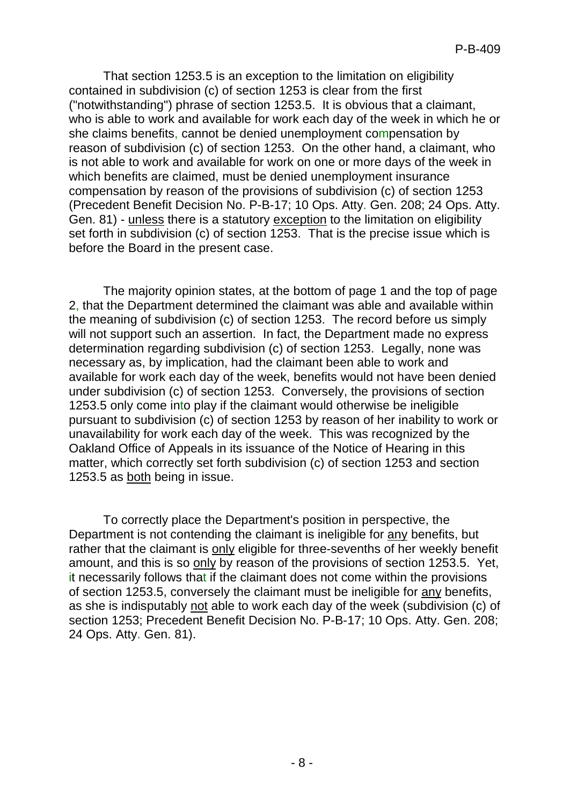That section 1253.5 is an exception to the limitation on eligibility contained in subdivision (c) of section 1253 is clear from the first ("notwithstanding") phrase of section 1253.5. It is obvious that a claimant, who is able to work and available for work each day of the week in which he or she claims benefits, cannot be denied unemployment compensation by reason of subdivision (c) of section 1253. On the other hand, a claimant, who is not able to work and available for work on one or more days of the week in which benefits are claimed, must be denied unemployment insurance compensation by reason of the provisions of subdivision (c) of section 1253 (Precedent Benefit Decision No. P-B-17; 10 Ops. Atty. Gen. 208; 24 Ops. Atty. Gen. 81) - unless there is a statutory exception to the limitation on eligibility set forth in subdivision (c) of section 1253. That is the precise issue which is before the Board in the present case.

The majority opinion states, at the bottom of page 1 and the top of page 2, that the Department determined the claimant was able and available within the meaning of subdivision (c) of section 1253. The record before us simply will not support such an assertion. In fact, the Department made no express determination regarding subdivision (c) of section 1253. Legally, none was necessary as, by implication, had the claimant been able to work and available for work each day of the week, benefits would not have been denied under subdivision (c) of section 1253. Conversely, the provisions of section 1253.5 only come into play if the claimant would otherwise be ineligible pursuant to subdivision (c) of section 1253 by reason of her inability to work or unavailability for work each day of the week. This was recognized by the Oakland Office of Appeals in its issuance of the Notice of Hearing in this matter, which correctly set forth subdivision (c) of section 1253 and section 1253.5 as both being in issue.

To correctly place the Department's position in perspective, the Department is not contending the claimant is ineligible for any benefits, but rather that the claimant is only eligible for three-sevenths of her weekly benefit amount, and this is so only by reason of the provisions of section 1253.5. Yet, it necessarily follows that if the claimant does not come within the provisions of section 1253.5, conversely the claimant must be ineligible for any benefits, as she is indisputably not able to work each day of the week (subdivision (c) of section 1253; Precedent Benefit Decision No. P-B-17; 10 Ops. Atty. Gen. 208; 24 Ops. Atty. Gen. 81).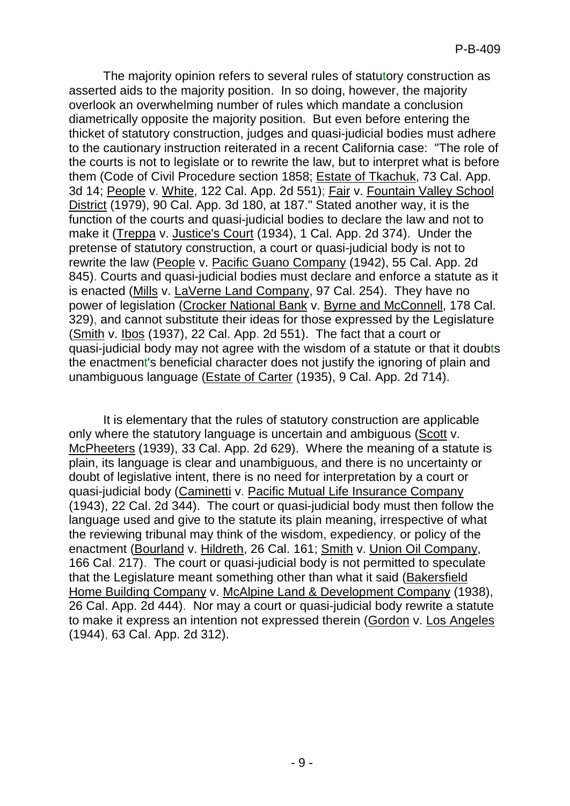The majority opinion refers to several rules of statutory construction as asserted aids to the majority position. In so doing, however, the majority overlook an overwhelming number of rules which mandate a conclusion diametrically opposite the majority position. But even before entering the thicket of statutory construction, judges and quasi-judicial bodies must adhere to the cautionary instruction reiterated in a recent California case: "The role of the courts is not to legislate or to rewrite the law, but to interpret what is before them (Code of Civil Procedure section 1858; Estate of Tkachuk, 73 Cal. App. 3d 14; People v. White, 122 Cal. App. 2d 551); Fair v. Fountain Valley School District (1979), 90 Cal. App. 3d 180, at 187." Stated another way, it is the function of the courts and quasi-judicial bodies to declare the law and not to make it (Treppa v. Justice's Court (1934), 1 Cal. App. 2d 374). Under the pretense of statutory construction, a court or quasi-judicial body is not to rewrite the law (People v. Pacific Guano Company (1942), 55 Cal. App. 2d 845). Courts and quasi-judicial bodies must declare and enforce a statute as it is enacted (Mills v. LaVerne Land Company, 97 Cal. 254). They have no power of legislation (Crocker National Bank v. Byrne and McConnell, 178 Cal. 329), and cannot substitute their ideas for those expressed by the Legislature (Smith v. Ibos (1937), 22 Cal. App. 2d 551). The fact that a court or quasi-judicial body may not agree with the wisdom of a statute or that it doubts the enactment's beneficial character does not justify the ignoring of plain and unambiguous language (Estate of Carter (1935), 9 Cal. App. 2d 714).

It is elementary that the rules of statutory construction are applicable only where the statutory language is uncertain and ambiguous (Scott v. McPheeters (1939), 33 Cal. App. 2d 629). Where the meaning of a statute is plain, its language is clear and unambiguous, and there is no uncertainty or doubt of legislative intent, there is no need for interpretation by a court or quasi-judicial body (Caminetti v. Pacific Mutual Life Insurance Company (1943), 22 Cal. 2d 344). The court or quasi-judicial body must then follow the language used and give to the statute its plain meaning, irrespective of what the reviewing tribunal may think of the wisdom, expediency, or policy of the enactment (Bourland v. Hildreth, 26 Cal. 161; Smith v. Union Oil Company, 166 Cal. 217). The court or quasi-judicial body is not permitted to speculate that the Legislature meant something other than what it said (Bakersfield Home Building Company v. McAlpine Land & Development Company (1938), 26 Cal. App. 2d 444). Nor may a court or quasi-judicial body rewrite a statute to make it express an intention not expressed therein (Gordon v. Los Angeles (1944), 63 Cal. App. 2d 312).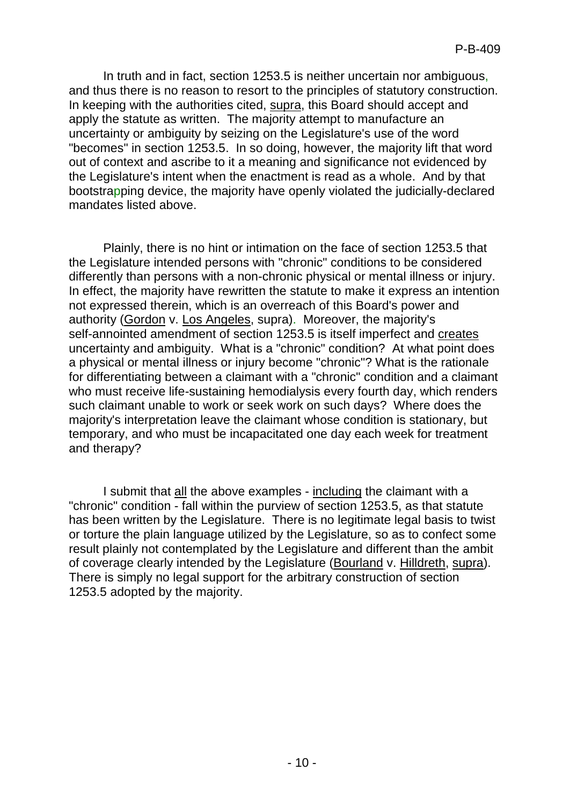In truth and in fact, section 1253.5 is neither uncertain nor ambiguous, and thus there is no reason to resort to the principles of statutory construction. In keeping with the authorities cited, supra, this Board should accept and apply the statute as written. The majority attempt to manufacture an uncertainty or ambiguity by seizing on the Legislature's use of the word "becomes" in section 1253.5. In so doing, however, the majority lift that word out of context and ascribe to it a meaning and significance not evidenced by the Legislature's intent when the enactment is read as a whole. And by that bootstrapping device, the majority have openly violated the judicially-declared mandates listed above.

Plainly, there is no hint or intimation on the face of section 1253.5 that the Legislature intended persons with "chronic" conditions to be considered differently than persons with a non-chronic physical or mental illness or injury. In effect, the majority have rewritten the statute to make it express an intention not expressed therein, which is an overreach of this Board's power and authority (Gordon v. Los Angeles, supra). Moreover, the majority's self-annointed amendment of section 1253.5 is itself imperfect and creates uncertainty and ambiguity. What is a "chronic" condition? At what point does a physical or mental illness or injury become "chronic"? What is the rationale for differentiating between a claimant with a "chronic" condition and a claimant who must receive life-sustaining hemodialysis every fourth day, which renders such claimant unable to work or seek work on such days? Where does the majority's interpretation leave the claimant whose condition is stationary, but temporary, and who must be incapacitated one day each week for treatment and therapy?

I submit that all the above examples - including the claimant with a "chronic" condition - fall within the purview of section 1253.5, as that statute has been written by the Legislature. There is no legitimate legal basis to twist or torture the plain language utilized by the Legislature, so as to confect some result plainly not contemplated by the Legislature and different than the ambit of coverage clearly intended by the Legislature (Bourland v. Hilldreth, supra). There is simply no legal support for the arbitrary construction of section 1253.5 adopted by the majority.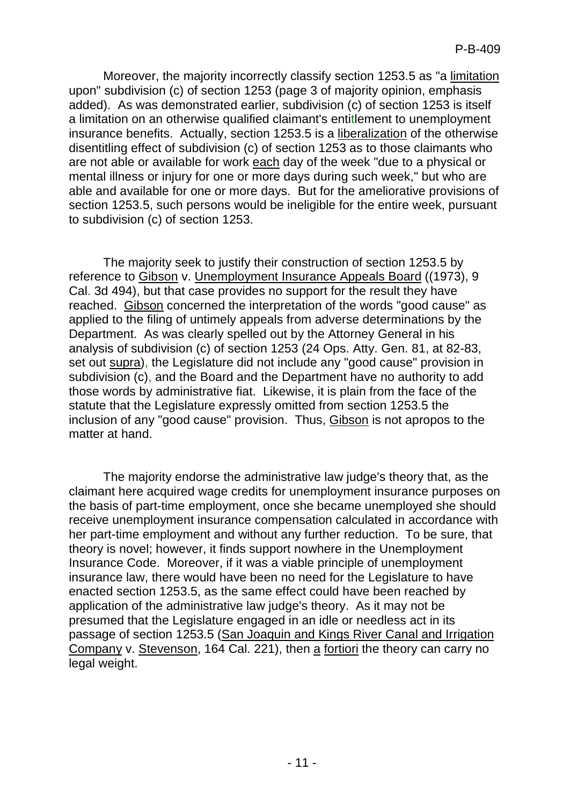Moreover, the majority incorrectly classify section 1253.5 as "a limitation upon" subdivision (c) of section 1253 (page 3 of majority opinion, emphasis added). As was demonstrated earlier, subdivision (c) of section 1253 is itself a limitation on an otherwise qualified claimant's entitlement to unemployment insurance benefits. Actually, section 1253.5 is a liberalization of the otherwise disentitling effect of subdivision (c) of section 1253 as to those claimants who are not able or available for work each day of the week "due to a physical or mental illness or injury for one or more days during such week," but who are able and available for one or more days. But for the ameliorative provisions of section 1253.5, such persons would be ineligible for the entire week, pursuant to subdivision (c) of section 1253.

The majority seek to justify their construction of section 1253.5 by reference to Gibson v. Unemployment Insurance Appeals Board ((1973), 9 Cal. 3d 494), but that case provides no support for the result they have reached. Gibson concerned the interpretation of the words "good cause" as applied to the filing of untimely appeals from adverse determinations by the Department. As was clearly spelled out by the Attorney General in his analysis of subdivision (c) of section 1253 (24 Ops. Atty. Gen. 81, at 82-83, set out supra), the Legislature did not include any "good cause" provision in subdivision (c), and the Board and the Department have no authority to add those words by administrative fiat. Likewise, it is plain from the face of the statute that the Legislature expressly omitted from section 1253.5 the inclusion of any "good cause" provision. Thus, Gibson is not apropos to the matter at hand.

The majority endorse the administrative law judge's theory that, as the claimant here acquired wage credits for unemployment insurance purposes on the basis of part-time employment, once she became unemployed she should receive unemployment insurance compensation calculated in accordance with her part-time employment and without any further reduction. To be sure, that theory is novel; however, it finds support nowhere in the Unemployment Insurance Code. Moreover, if it was a viable principle of unemployment insurance law, there would have been no need for the Legislature to have enacted section 1253.5, as the same effect could have been reached by application of the administrative law judge's theory. As it may not be presumed that the Legislature engaged in an idle or needless act in its passage of section 1253.5 (San Joaquin and Kings River Canal and Irrigation Company v. Stevenson, 164 Cal. 221), then a fortiori the theory can carry no legal weight.